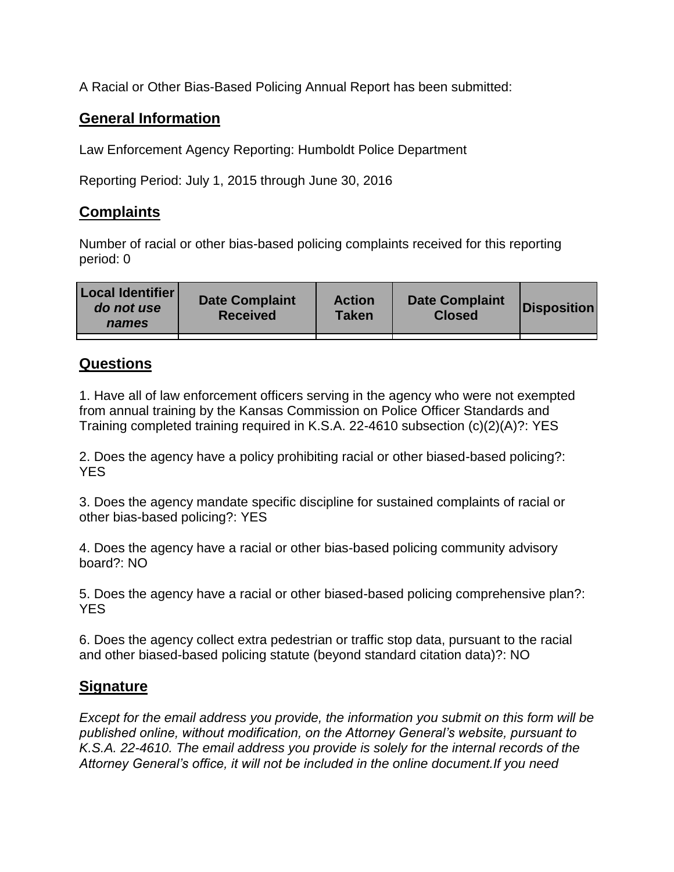A Racial or Other Bias-Based Policing Annual Report has been submitted:

## **General Information**

Law Enforcement Agency Reporting: Humboldt Police Department

Reporting Period: July 1, 2015 through June 30, 2016

## **Complaints**

Number of racial or other bias-based policing complaints received for this reporting period: 0

| <b>Local Identifier</b><br>do not use<br>names | <b>Date Complaint</b><br><b>Received</b> | <b>Action</b><br><b>Taken</b> | <b>Date Complaint</b><br><b>Closed</b> | Disposition |
|------------------------------------------------|------------------------------------------|-------------------------------|----------------------------------------|-------------|
|                                                |                                          |                               |                                        |             |

## **Questions**

1. Have all of law enforcement officers serving in the agency who were not exempted from annual training by the Kansas Commission on Police Officer Standards and Training completed training required in K.S.A. 22-4610 subsection (c)(2)(A)?: YES

2. Does the agency have a policy prohibiting racial or other biased-based policing?: YES

3. Does the agency mandate specific discipline for sustained complaints of racial or other bias-based policing?: YES

4. Does the agency have a racial or other bias-based policing community advisory board?: NO

5. Does the agency have a racial or other biased-based policing comprehensive plan?: YES

6. Does the agency collect extra pedestrian or traffic stop data, pursuant to the racial and other biased-based policing statute (beyond standard citation data)?: NO

## **Signature**

*Except for the email address you provide, the information you submit on this form will be published online, without modification, on the Attorney General's website, pursuant to K.S.A. 22-4610. The email address you provide is solely for the internal records of the Attorney General's office, it will not be included in the online document.If you need*